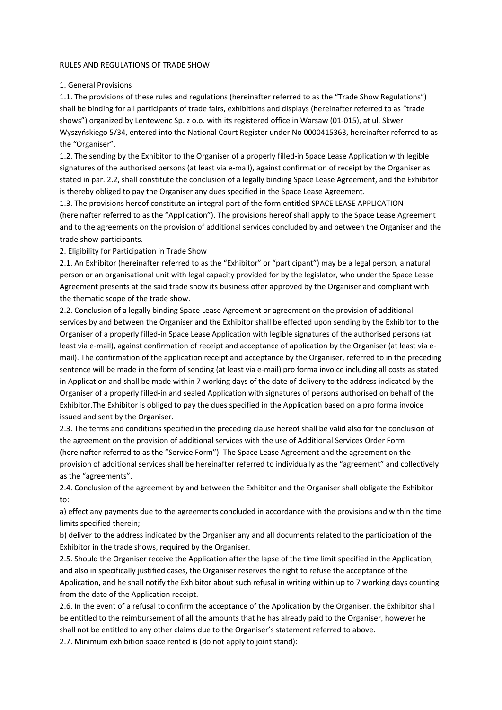### RULES AND REGULATIONS OF TRADE SHOW

## 1. General Provisions

1.1. The provisions of these rules and regulations (hereinafter referred to as the "Trade Show Regulations") shall be binding for all participants of trade fairs, exhibitions and displays (hereinafter referred to as "trade shows") organized by Lentewenc Sp. z o.o. with its registered office in Warsaw (01-015), at ul. Skwer Wyszyńskiego 5/34, entered into the National Court Register under No 0000415363, hereinafter referred to as the "Organiser".

1.2. The sending by the Exhibitor to the Organiser of a properly filled-in Space Lease Application with legible signatures of the authorised persons (at least via e-mail), against confirmation of receipt by the Organiser as stated in par. 2.2, shall constitute the conclusion of a legally binding Space Lease Agreement, and the Exhibitor is thereby obliged to pay the Organiser any dues specified in the Space Lease Agreement.

1.3. The provisions hereof constitute an integral part of the form entitled SPACE LEASE APPLICATION (hereinafter referred to as the "Application"). The provisions hereof shall apply to the Space Lease Agreement and to the agreements on the provision of additional services concluded by and between the Organiser and the trade show participants.

2. Eligibility for Participation in Trade Show

2.1. An Exhibitor (hereinafter referred to as the "Exhibitor" or "participant") may be a legal person, a natural person or an organisational unit with legal capacity provided for by the legislator, who under the Space Lease Agreement presents at the said trade show its business offer approved by the Organiser and compliant with the thematic scope of the trade show.

2.2. Conclusion of a legally binding Space Lease Agreement or agreement on the provision of additional services by and between the Organiser and the Exhibitor shall be effected upon sending by the Exhibitor to the Organiser of a properly filled-in Space Lease Application with legible signatures of the authorised persons (at least via e-mail), against confirmation of receipt and acceptance of application by the Organiser (at least via email). The confirmation of the application receipt and acceptance by the Organiser, referred to in the preceding sentence will be made in the form of sending (at least via e-mail) pro forma invoice including all costs as stated in Application and shall be made within 7 working days of the date of delivery to the address indicated by the Organiser of a properly filled-in and sealed Application with signatures of persons authorised on behalf of the Exhibitor.The Exhibitor is obliged to pay the dues specified in the Application based on a pro forma invoice issued and sent by the Organiser.

2.3. The terms and conditions specified in the preceding clause hereof shall be valid also for the conclusion of the agreement on the provision of additional services with the use of Additional Services Order Form (hereinafter referred to as the "Service Form"). The Space Lease Agreement and the agreement on the provision of additional services shall be hereinafter referred to individually as the "agreement" and collectively as the "agreements".

2.4. Conclusion of the agreement by and between the Exhibitor and the Organiser shall obligate the Exhibitor to:

a) effect any payments due to the agreements concluded in accordance with the provisions and within the time limits specified therein;

b) deliver to the address indicated by the Organiser any and all documents related to the participation of the Exhibitor in the trade shows, required by the Organiser.

2.5. Should the Organiser receive the Application after the lapse of the time limit specified in the Application, and also in specifically justified cases, the Organiser reserves the right to refuse the acceptance of the Application, and he shall notify the Exhibitor about such refusal in writing within up to 7 working days counting from the date of the Application receipt.

2.6. In the event of a refusal to confirm the acceptance of the Application by the Organiser, the Exhibitor shall be entitled to the reimbursement of all the amounts that he has already paid to the Organiser, however he shall not be entitled to any other claims due to the Organiser's statement referred to above.

2.7. Minimum exhibition space rented is (do not apply to joint stand):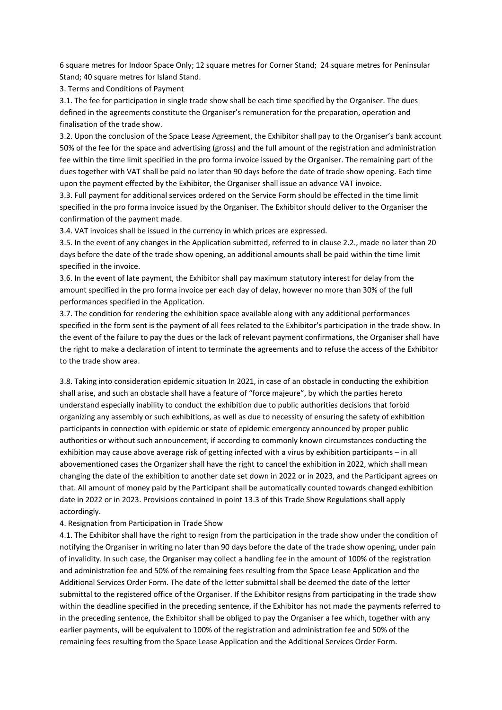6 square metres for Indoor Space Only; 12 square metres for Corner Stand; 24 square metres for Peninsular Stand; 40 square metres for Island Stand.

3. Terms and Conditions of Payment

3.1. The fee for participation in single trade show shall be each time specified by the Organiser. The dues defined in the agreements constitute the Organiser's remuneration for the preparation, operation and finalisation of the trade show.

3.2. Upon the conclusion of the Space Lease Agreement, the Exhibitor shall pay to the Organiser's bank account 50% of the fee for the space and advertising (gross) and the full amount of the registration and administration fee within the time limit specified in the pro forma invoice issued by the Organiser. The remaining part of the dues together with VAT shall be paid no later than 90 days before the date of trade show opening. Each time upon the payment effected by the Exhibitor, the Organiser shall issue an advance VAT invoice.

3.3. Full payment for additional services ordered on the Service Form should be effected in the time limit specified in the pro forma invoice issued by the Organiser. The Exhibitor should deliver to the Organiser the confirmation of the payment made.

3.4. VAT invoices shall be issued in the currency in which prices are expressed.

3.5. In the event of any changes in the Application submitted, referred to in clause 2.2., made no later than 20 days before the date of the trade show opening, an additional amounts shall be paid within the time limit specified in the invoice.

3.6. In the event of late payment, the Exhibitor shall pay maximum statutory interest for delay from the amount specified in the pro forma invoice per each day of delay, however no more than 30% of the full performances specified in the Application.

3.7. The condition for rendering the exhibition space available along with any additional performances specified in the form sent is the payment of all fees related to the Exhibitor's participation in the trade show. In the event of the failure to pay the dues or the lack of relevant payment confirmations, the Organiser shall have the right to make a declaration of intent to terminate the agreements and to refuse the access of the Exhibitor to the trade show area.

3.8. Taking into consideration epidemic situation In 2021, in case of an obstacle in conducting the exhibition shall arise, and such an obstacle shall have a feature of "force majeure", by which the parties hereto understand especially inability to conduct the exhibition due to public authorities decisions that forbid organizing any assembly or such exhibitions, as well as due to necessity of ensuring the safety of exhibition participants in connection with epidemic or state of epidemic emergency announced by proper public authorities or without such announcement, if according to commonly known circumstances conducting the exhibition may cause above average risk of getting infected with a virus by exhibition participants – in all abovementioned cases the Organizer shall have the right to cancel the exhibition in 2022, which shall mean changing the date of the exhibition to another date set down in 2022 or in 2023, and the Participant agrees on that. All amount of money paid by the Participant shall be automatically counted towards changed exhibition date in 2022 or in 2023. Provisions contained in point 13.3 of this Trade Show Regulations shall apply accordingly.

## 4. Resignation from Participation in Trade Show

4.1. The Exhibitor shall have the right to resign from the participation in the trade show under the condition of notifying the Organiser in writing no later than 90 days before the date of the trade show opening, under pain of invalidity. In such case, the Organiser may collect a handling fee in the amount of 100% of the registration and administration fee and 50% of the remaining fees resulting from the Space Lease Application and the Additional Services Order Form. The date of the letter submittal shall be deemed the date of the letter submittal to the registered office of the Organiser. If the Exhibitor resigns from participating in the trade show within the deadline specified in the preceding sentence, if the Exhibitor has not made the payments referred to in the preceding sentence, the Exhibitor shall be obliged to pay the Organiser a fee which, together with any earlier payments, will be equivalent to 100% of the registration and administration fee and 50% of the remaining fees resulting from the Space Lease Application and the Additional Services Order Form.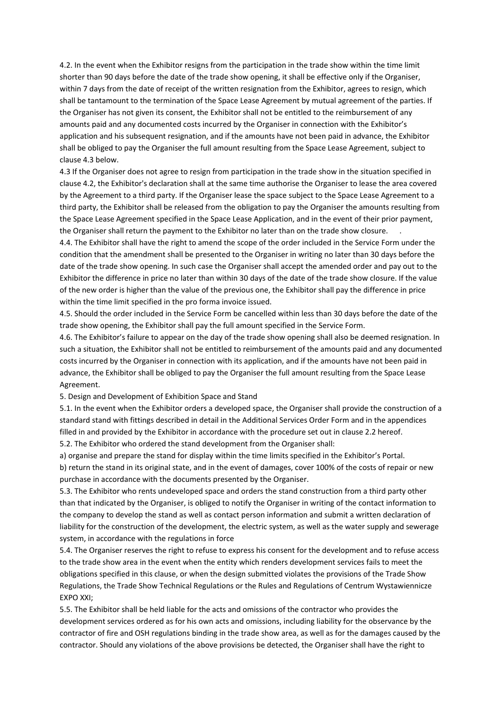4.2. In the event when the Exhibitor resigns from the participation in the trade show within the time limit shorter than 90 days before the date of the trade show opening, it shall be effective only if the Organiser, within 7 days from the date of receipt of the written resignation from the Exhibitor, agrees to resign, which shall be tantamount to the termination of the Space Lease Agreement by mutual agreement of the parties. If the Organiser has not given its consent, the Exhibitor shall not be entitled to the reimbursement of any amounts paid and any documented costs incurred by the Organiser in connection with the Exhibitor's application and his subsequent resignation, and if the amounts have not been paid in advance, the Exhibitor shall be obliged to pay the Organiser the full amount resulting from the Space Lease Agreement, subject to clause 4.3 below.

4.3 If the Organiser does not agree to resign from participation in the trade show in the situation specified in clause 4.2, the Exhibitor's declaration shall at the same time authorise the Organiser to lease the area covered by the Agreement to a third party. If the Organiser lease the space subject to the Space Lease Agreement to a third party, the Exhibitor shall be released from the obligation to pay the Organiser the amounts resulting from the Space Lease Agreement specified in the Space Lease Application, and in the event of their prior payment, the Organiser shall return the payment to the Exhibitor no later than on the trade show closure. .

4.4. The Exhibitor shall have the right to amend the scope of the order included in the Service Form under the condition that the amendment shall be presented to the Organiser in writing no later than 30 days before the date of the trade show opening. In such case the Organiser shall accept the amended order and pay out to the Exhibitor the difference in price no later than within 30 days of the date of the trade show closure. If the value of the new order is higher than the value of the previous one, the Exhibitor shall pay the difference in price within the time limit specified in the pro forma invoice issued.

4.5. Should the order included in the Service Form be cancelled within less than 30 days before the date of the trade show opening, the Exhibitor shall pay the full amount specified in the Service Form.

4.6. The Exhibitor's failure to appear on the day of the trade show opening shall also be deemed resignation. In such a situation, the Exhibitor shall not be entitled to reimbursement of the amounts paid and any documented costs incurred by the Organiser in connection with its application, and if the amounts have not been paid in advance, the Exhibitor shall be obliged to pay the Organiser the full amount resulting from the Space Lease Agreement.

5. Design and Development of Exhibition Space and Stand

5.1. In the event when the Exhibitor orders a developed space, the Organiser shall provide the construction of a standard stand with fittings described in detail in the Additional Services Order Form and in the appendices filled in and provided by the Exhibitor in accordance with the procedure set out in clause 2.2 hereof. 5.2. The Exhibitor who ordered the stand development from the Organiser shall:

a) organise and prepare the stand for display within the time limits specified in the Exhibitor's Portal. b) return the stand in its original state, and in the event of damages, cover 100% of the costs of repair or new purchase in accordance with the documents presented by the Organiser.

5.3. The Exhibitor who rents undeveloped space and orders the stand construction from a third party other than that indicated by the Organiser, is obliged to notify the Organiser in writing of the contact information to the company to develop the stand as well as contact person information and submit a written declaration of liability for the construction of the development, the electric system, as well as the water supply and sewerage system, in accordance with the regulations in force

5.4. The Organiser reserves the right to refuse to express his consent for the development and to refuse access to the trade show area in the event when the entity which renders development services fails to meet the obligations specified in this clause, or when the design submitted violates the provisions of the Trade Show Regulations, the Trade Show Technical Regulations or the Rules and Regulations of Centrum Wystawiennicze EXPO XXI;

5.5. The Exhibitor shall be held liable for the acts and omissions of the contractor who provides the development services ordered as for his own acts and omissions, including liability for the observance by the contractor of fire and OSH regulations binding in the trade show area, as well as for the damages caused by the contractor. Should any violations of the above provisions be detected, the Organiser shall have the right to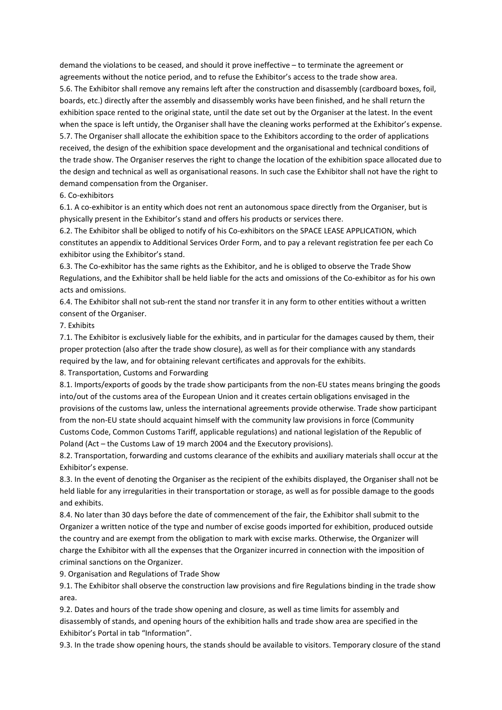demand the violations to be ceased, and should it prove ineffective – to terminate the agreement or agreements without the notice period, and to refuse the Exhibitor's access to the trade show area. 5.6. The Exhibitor shall remove any remains left after the construction and disassembly (cardboard boxes, foil, boards, etc.) directly after the assembly and disassembly works have been finished, and he shall return the exhibition space rented to the original state, until the date set out by the Organiser at the latest. In the event when the space is left untidy, the Organiser shall have the cleaning works performed at the Exhibitor's expense. 5.7. The Organiser shall allocate the exhibition space to the Exhibitors according to the order of applications received, the design of the exhibition space development and the organisational and technical conditions of the trade show. The Organiser reserves the right to change the location of the exhibition space allocated due to the design and technical as well as organisational reasons. In such case the Exhibitor shall not have the right to demand compensation from the Organiser.

# 6. Co-exhibitors

6.1. A co-exhibitor is an entity which does not rent an autonomous space directly from the Organiser, but is physically present in the Exhibitor's stand and offers his products or services there.

6.2. The Exhibitor shall be obliged to notify of his Co-exhibitors on the SPACE LEASE APPLICATION, which constitutes an appendix to Additional Services Order Form, and to pay a relevant registration fee per each Co exhibitor using the Exhibitor's stand.

6.3. The Co-exhibitor has the same rights as the Exhibitor, and he is obliged to observe the Trade Show Regulations, and the Exhibitor shall be held liable for the acts and omissions of the Co-exhibitor as for his own acts and omissions.

6.4. The Exhibitor shall not sub-rent the stand nor transfer it in any form to other entities without a written consent of the Organiser.

# 7. Exhibits

7.1. The Exhibitor is exclusively liable for the exhibits, and in particular for the damages caused by them, their proper protection (also after the trade show closure), as well as for their compliance with any standards required by the law, and for obtaining relevant certificates and approvals for the exhibits.

8. Transportation, Customs and Forwarding

8.1. Imports/exports of goods by the trade show participants from the non-EU states means bringing the goods into/out of the customs area of the European Union and it creates certain obligations envisaged in the provisions of the customs law, unless the international agreements provide otherwise. Trade show participant from the non-EU state should acquaint himself with the community law provisions in force (Community Customs Code, Common Customs Tariff, applicable regulations) and national legislation of the Republic of Poland (Act – the Customs Law of 19 march 2004 and the Executory provisions).

8.2. Transportation, forwarding and customs clearance of the exhibits and auxiliary materials shall occur at the Exhibitor's expense.

8.3. In the event of denoting the Organiser as the recipient of the exhibits displayed, the Organiser shall not be held liable for any irregularities in their transportation or storage, as well as for possible damage to the goods and exhibits.

8.4. No later than 30 days before the date of commencement of the fair, the Exhibitor shall submit to the Organizer a written notice of the type and number of excise goods imported for exhibition, produced outside the country and are exempt from the obligation to mark with excise marks. Otherwise, the Organizer will charge the Exhibitor with all the expenses that the Organizer incurred in connection with the imposition of criminal sanctions on the Organizer.

9. Organisation and Regulations of Trade Show

9.1. The Exhibitor shall observe the construction law provisions and fire Regulations binding in the trade show area.

9.2. Dates and hours of the trade show opening and closure, as well as time limits for assembly and disassembly of stands, and opening hours of the exhibition halls and trade show area are specified in the Exhibitor's Portal in tab "Information".

9.3. In the trade show opening hours, the stands should be available to visitors. Temporary closure of the stand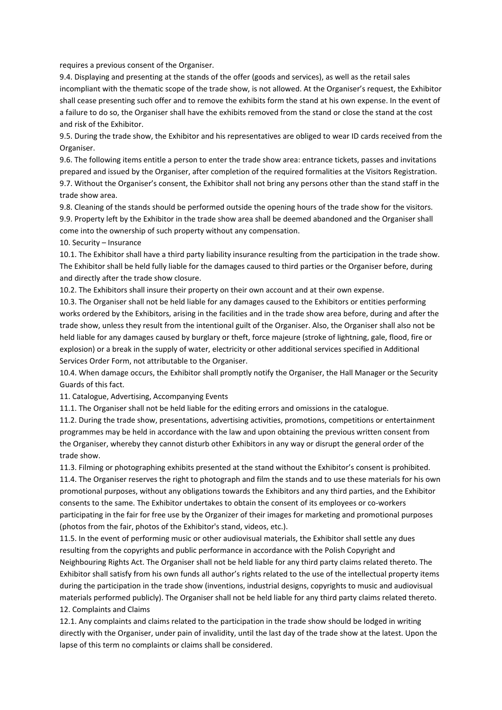requires a previous consent of the Organiser.

9.4. Displaying and presenting at the stands of the offer (goods and services), as well as the retail sales incompliant with the thematic scope of the trade show, is not allowed. At the Organiser's request, the Exhibitor shall cease presenting such offer and to remove the exhibits form the stand at his own expense. In the event of a failure to do so, the Organiser shall have the exhibits removed from the stand or close the stand at the cost and risk of the Exhibitor.

9.5. During the trade show, the Exhibitor and his representatives are obliged to wear ID cards received from the Organiser.

9.6. The following items entitle a person to enter the trade show area: entrance tickets, passes and invitations prepared and issued by the Organiser, after completion of the required formalities at the Visitors Registration. 9.7. Without the Organiser's consent, the Exhibitor shall not bring any persons other than the stand staff in the trade show area.

9.8. Cleaning of the stands should be performed outside the opening hours of the trade show for the visitors. 9.9. Property left by the Exhibitor in the trade show area shall be deemed abandoned and the Organiser shall come into the ownership of such property without any compensation.

10. Security – Insurance

10.1. The Exhibitor shall have a third party liability insurance resulting from the participation in the trade show. The Exhibitor shall be held fully liable for the damages caused to third parties or the Organiser before, during and directly after the trade show closure.

10.2. The Exhibitors shall insure their property on their own account and at their own expense.

10.3. The Organiser shall not be held liable for any damages caused to the Exhibitors or entities performing works ordered by the Exhibitors, arising in the facilities and in the trade show area before, during and after the trade show, unless they result from the intentional guilt of the Organiser. Also, the Organiser shall also not be held liable for any damages caused by burglary or theft, force majeure (stroke of lightning, gale, flood, fire or explosion) or a break in the supply of water, electricity or other additional services specified in Additional Services Order Form, not attributable to the Organiser.

10.4. When damage occurs, the Exhibitor shall promptly notify the Organiser, the Hall Manager or the Security Guards of this fact.

11. Catalogue, Advertising, Accompanying Events

11.1. The Organiser shall not be held liable for the editing errors and omissions in the catalogue.

11.2. During the trade show, presentations, advertising activities, promotions, competitions or entertainment programmes may be held in accordance with the law and upon obtaining the previous written consent from the Organiser, whereby they cannot disturb other Exhibitors in any way or disrupt the general order of the trade show.

11.3. Filming or photographing exhibits presented at the stand without the Exhibitor's consent is prohibited. 11.4. The Organiser reserves the right to photograph and film the stands and to use these materials for his own promotional purposes, without any obligations towards the Exhibitors and any third parties, and the Exhibitor consents to the same. The Exhibitor undertakes to obtain the consent of its employees or co-workers participating in the fair for free use by the Organizer of their images for marketing and promotional purposes (photos from the fair, photos of the Exhibitor's stand, videos, etc.).

11.5. In the event of performing music or other audiovisual materials, the Exhibitor shall settle any dues resulting from the copyrights and public performance in accordance with the Polish Copyright and Neighbouring Rights Act. The Organiser shall not be held liable for any third party claims related thereto. The Exhibitor shall satisfy from his own funds all author's rights related to the use of the intellectual property items during the participation in the trade show (inventions, industrial designs, copyrights to music and audiovisual materials performed publicly). The Organiser shall not be held liable for any third party claims related thereto. 12. Complaints and Claims

12.1. Any complaints and claims related to the participation in the trade show should be lodged in writing directly with the Organiser, under pain of invalidity, until the last day of the trade show at the latest. Upon the lapse of this term no complaints or claims shall be considered.